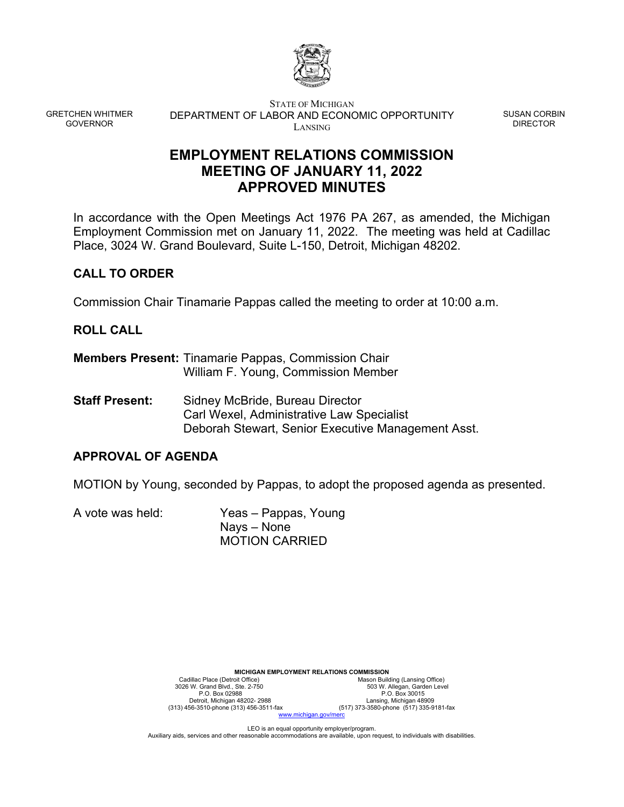

GRETCHEN WHITMER GOVERNOR

STATE OF MICHIGAN DEPARTMENT OF LABOR AND ECONOMIC OPPORTUNITY LANSING

SUSAN CORBIN DIRECTOR

# **EMPLOYMENT RELATIONS COMMISSION MEETING OF JANUARY 11, 2022 APPROVED MINUTES**

In accordance with the Open Meetings Act 1976 PA 267, as amended, the Michigan Employment Commission met on January 11, 2022. The meeting was held at Cadillac Place, 3024 W. Grand Boulevard, Suite L-150, Detroit, Michigan 48202.

## **CALL TO ORDER**

Commission Chair Tinamarie Pappas called the meeting to order at 10:00 a.m.

## **ROLL CALL**

- **Members Present:** Tinamarie Pappas, Commission Chair William F. Young, Commission Member
- **Staff Present:** Sidney McBride, Bureau Director Carl Wexel, Administrative Law Specialist Deborah Stewart, Senior Executive Management Asst.

## **APPROVAL OF AGENDA**

MOTION by Young, seconded by Pappas, to adopt the proposed agenda as presented.

A vote was held: Yeas – Pappas, Young Nays – None MOTION CARRIED

| <b>MICHIGAN EMPLOYMENT RELATIONS COMMISSION</b> |                                         |  |
|-------------------------------------------------|-----------------------------------------|--|
| Cadillac Place (Detroit Office)                 | Mason Building (Lansing Office)         |  |
| 3026 W. Grand Blvd., Ste. 2-750                 | 503 W. Allegan, Garden Level            |  |
| P.O. Box 02988                                  | P.O. Box 30015                          |  |
| Detroit, Michigan 48202-2988                    | Lansing, Michigan 48909                 |  |
| (313) 456-3510-phone (313) 456-3511-fax         | (517) 373-3580-phone (517) 335-9181-fax |  |
| www.michigan.gov/merc                           |                                         |  |

LEO is an equal opportunity employer/program. Auxiliary aids, services and other reasonable accommodations are available, upon request, to individuals with disabilities.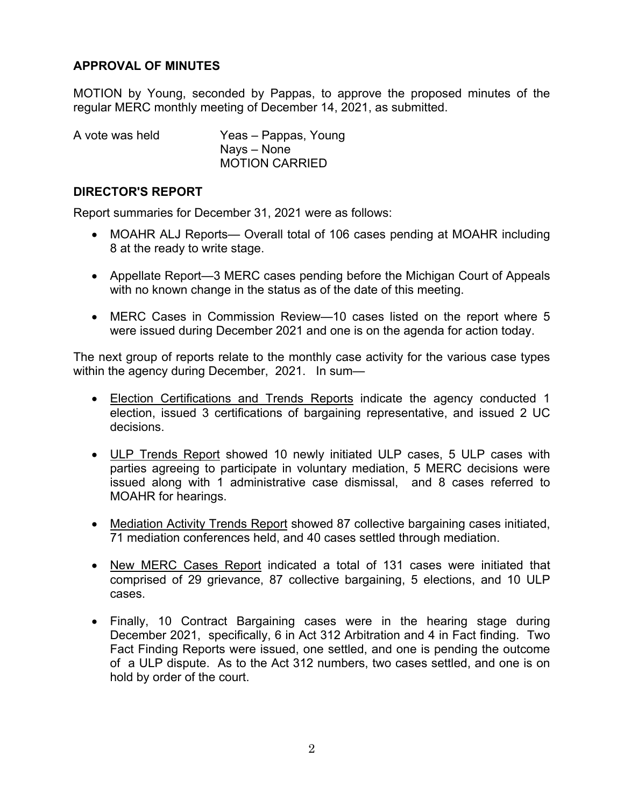## **APPROVAL OF MINUTES**

MOTION by Young, seconded by Pappas, to approve the proposed minutes of the regular MERC monthly meeting of December 14, 2021, as submitted.

| A vote was held | Yeas - Pappas, Young  |
|-----------------|-----------------------|
|                 | Nays – None           |
|                 | <b>MOTION CARRIED</b> |

#### **DIRECTOR'S REPORT**

Report summaries for December 31, 2021 were as follows:

- MOAHR ALJ Reports— Overall total of 106 cases pending at MOAHR including 8 at the ready to write stage.
- Appellate Report—3 MERC cases pending before the Michigan Court of Appeals with no known change in the status as of the date of this meeting.
- MERC Cases in Commission Review—10 cases listed on the report where 5 were issued during December 2021 and one is on the agenda for action today.

The next group of reports relate to the monthly case activity for the various case types within the agency during December, 2021. In sum-

- Election Certifications and Trends Reports indicate the agency conducted 1 election, issued 3 certifications of bargaining representative, and issued 2 UC decisions.
- ULP Trends Report showed 10 newly initiated ULP cases, 5 ULP cases with parties agreeing to participate in voluntary mediation, 5 MERC decisions were issued along with 1 administrative case dismissal, and 8 cases referred to MOAHR for hearings.
- Mediation Activity Trends Report showed 87 collective bargaining cases initiated, 71 mediation conferences held, and 40 cases settled through mediation.
- New MERC Cases Report indicated a total of 131 cases were initiated that comprised of 29 grievance, 87 collective bargaining, 5 elections, and 10 ULP cases.
- Finally, 10 Contract Bargaining cases were in the hearing stage during December 2021, specifically, 6 in Act 312 Arbitration and 4 in Fact finding. Two Fact Finding Reports were issued, one settled, and one is pending the outcome of a ULP dispute. As to the Act 312 numbers, two cases settled, and one is on hold by order of the court.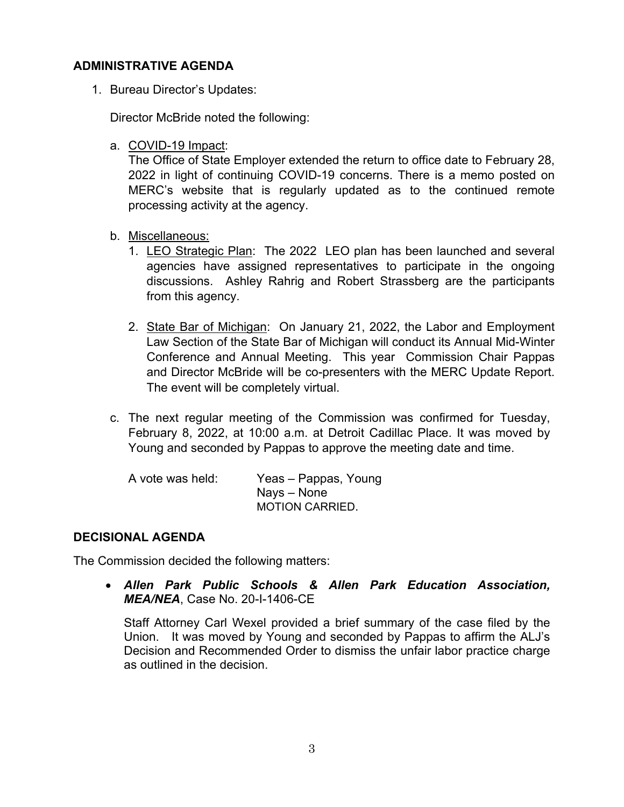### **ADMINISTRATIVE AGENDA**

1. Bureau Director's Updates:

Director McBride noted the following:

a. COVID-19 Impact:

The Office of State Employer extended the return to office date to February 28, 2022 in light of continuing COVID-19 concerns. There is a memo posted on MERC's website that is regularly updated as to the continued remote processing activity at the agency.

- b. Miscellaneous:
	- 1. LEO Strategic Plan: The 2022 LEO plan has been launched and several agencies have assigned representatives to participate in the ongoing discussions. Ashley Rahrig and Robert Strassberg are the participants from this agency.
	- 2. State Bar of Michigan: On January 21, 2022, the Labor and Employment Law Section of the State Bar of Michigan will conduct its Annual Mid-Winter Conference and Annual Meeting. This year Commission Chair Pappas and Director McBride will be co-presenters with the MERC Update Report. The event will be completely virtual.
- c. The next regular meeting of the Commission was confirmed for Tuesday, February 8, 2022, at 10:00 a.m. at Detroit Cadillac Place. It was moved by Young and seconded by Pappas to approve the meeting date and time.

| A vote was held: | Yeas – Pappas, Young   |
|------------------|------------------------|
|                  | Nays – None            |
|                  | <b>MOTION CARRIED.</b> |

## **DECISIONAL AGENDA**

The Commission decided the following matters:

 *Allen Park Public Schools & Allen Park Education Association, MEA/NEA*, Case No. 20-I-1406-CE

Staff Attorney Carl Wexel provided a brief summary of the case filed by the Union. It was moved by Young and seconded by Pappas to affirm the ALJ's Decision and Recommended Order to dismiss the unfair labor practice charge as outlined in the decision.